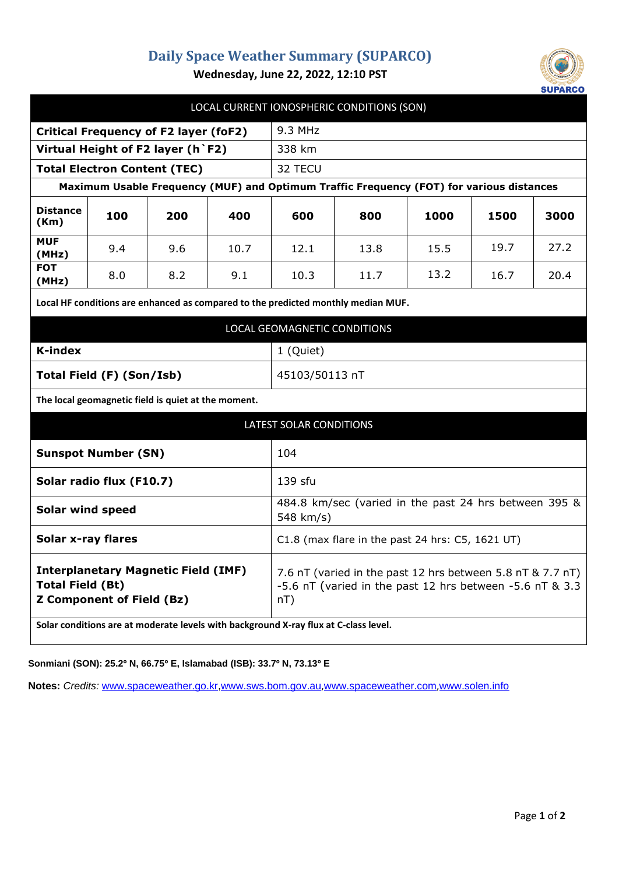## **Daily Space Weather Summary (SUPARCO)**



**Wednesday, June 22, 2022, 12:10 PST**

| LOCAL CURRENT IONOSPHERIC CONDITIONS (SON)                                                                |     |     |      |                                                                                                                                  |      |      |      |      |
|-----------------------------------------------------------------------------------------------------------|-----|-----|------|----------------------------------------------------------------------------------------------------------------------------------|------|------|------|------|
| <b>Critical Frequency of F2 layer (foF2)</b>                                                              |     |     |      | $9.3$ MHz                                                                                                                        |      |      |      |      |
| Virtual Height of F2 layer (h `F2)                                                                        |     |     |      | 338 km                                                                                                                           |      |      |      |      |
| <b>Total Electron Content (TEC)</b>                                                                       |     |     |      | 32 TECU                                                                                                                          |      |      |      |      |
| Maximum Usable Frequency (MUF) and Optimum Traffic Frequency (FOT) for various distances                  |     |     |      |                                                                                                                                  |      |      |      |      |
| <b>Distance</b><br>(Km)                                                                                   | 100 | 200 | 400  | 600                                                                                                                              | 800  | 1000 | 1500 | 3000 |
| <b>MUF</b><br>(MHz)                                                                                       | 9.4 | 9.6 | 10.7 | 12.1                                                                                                                             | 13.8 | 15.5 | 19.7 | 27.2 |
| <b>FOT</b><br>(MHz)                                                                                       | 8.0 | 8.2 | 9.1  | 10.3                                                                                                                             | 11.7 | 13.2 | 16.7 | 20.4 |
| Local HF conditions are enhanced as compared to the predicted monthly median MUF.                         |     |     |      |                                                                                                                                  |      |      |      |      |
| LOCAL GEOMAGNETIC CONDITIONS                                                                              |     |     |      |                                                                                                                                  |      |      |      |      |
| K-index                                                                                                   |     |     |      | 1 (Quiet)                                                                                                                        |      |      |      |      |
| Total Field (F) (Son/Isb)                                                                                 |     |     |      | 45103/50113 nT                                                                                                                   |      |      |      |      |
| The local geomagnetic field is quiet at the moment.                                                       |     |     |      |                                                                                                                                  |      |      |      |      |
| LATEST SOLAR CONDITIONS                                                                                   |     |     |      |                                                                                                                                  |      |      |      |      |
| <b>Sunspot Number (SN)</b>                                                                                |     |     |      | 104                                                                                                                              |      |      |      |      |
| Solar radio flux (F10.7)                                                                                  |     |     |      | 139 sfu                                                                                                                          |      |      |      |      |
| <b>Solar wind speed</b>                                                                                   |     |     |      | 484.8 km/sec (varied in the past 24 hrs between 395 &<br>548 km/s)                                                               |      |      |      |      |
| <b>Solar x-ray flares</b>                                                                                 |     |     |      | $C1.8$ (max flare in the past 24 hrs: $C5$ , 1621 UT)                                                                            |      |      |      |      |
| <b>Interplanetary Magnetic Field (IMF)</b><br><b>Total Field (Bt)</b><br><b>Z Component of Field (Bz)</b> |     |     |      | 7.6 nT (varied in the past 12 hrs between 5.8 nT & 7.7 nT)<br>-5.6 nT (varied in the past 12 hrs between -5.6 nT & 3.3<br>$nT$ ) |      |      |      |      |
| Solar conditions are at moderate levels with background X-ray flux at C-class level.                      |     |     |      |                                                                                                                                  |      |      |      |      |

**Sonmiani (SON): 25.2º N, 66.75º E, Islamabad (ISB): 33.7º N, 73.13º E**

**Notes:** *Credits:* [www.spaceweather.go.kr,](http://www.spaceweather.go.kr/)[www.sws.bom.gov.au](http://www.sws.bom.gov.au/),[www.spaceweather.com](http://www.spaceweather.com/),[www.solen.info](http://www.solen.info/)